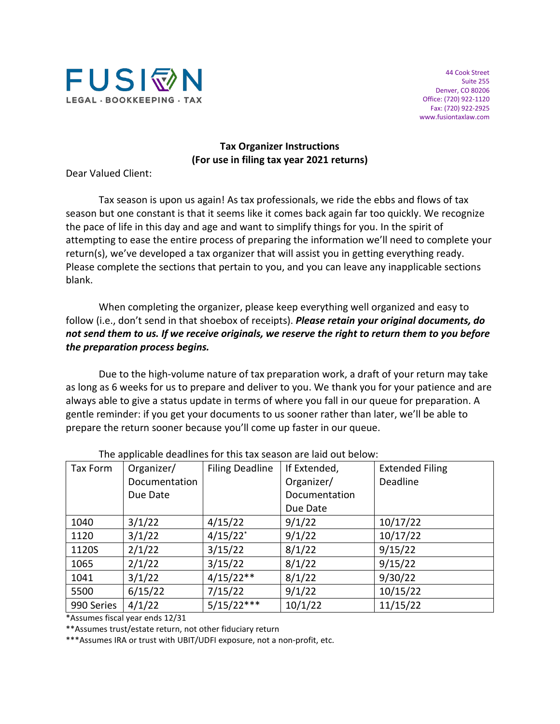

44 Cook Street Suite 255 Denver, CO 80206 Office: (720) 922-1120 Fax: (720) 922-2925 www.fusiontaxlaw.com

#### **Tax Organizer Instructions (For use in filing tax year 2021 returns)**

Dear Valued Client:

Tax season is upon us again! As tax professionals, we ride the ebbs and flows of tax season but one constant is that it seems like it comes back again far too quickly. We recognize the pace of life in this day and age and want to simplify things for you. In the spirit of attempting to ease the entire process of preparing the information we'll need to complete your return(s), we've developed a tax organizer that will assist you in getting everything ready. Please complete the sections that pertain to you, and you can leave any inapplicable sections blank.

When completing the organizer, please keep everything well organized and easy to follow (i.e., don't send in that shoebox of receipts). *Please retain your original documents, do not send them to us. If we receive originals, we reserve the right to return them to you before the preparation process begins.*

Due to the high-volume nature of tax preparation work, a draft of your return may take as long as 6 weeks for us to prepare and deliver to you. We thank you for your patience and are always able to give a status update in terms of where you fall in our queue for preparation. A gentle reminder: if you get your documents to us sooner rather than later, we'll be able to prepare the return sooner because you'll come up faster in our queue.

| Tax Form   | Organizer/    | <b>Filing Deadline</b> | If Extended,  | <b>Extended Filing</b> |
|------------|---------------|------------------------|---------------|------------------------|
|            | Documentation |                        | Organizer/    | <b>Deadline</b>        |
|            | Due Date      |                        | Documentation |                        |
|            |               |                        | Due Date      |                        |
| 1040       | 3/1/22        | 4/15/22                | 9/1/22        | 10/17/22               |
| 1120       | 3/1/22        | $4/15/22$ <sup>*</sup> | 9/1/22        | 10/17/22               |
| 1120S      | 2/1/22        | 3/15/22                | 8/1/22        | 9/15/22                |
| 1065       | 2/1/22        | 3/15/22                | 8/1/22        | 9/15/22                |
| 1041       | 3/1/22        | $4/15/22**$            | 8/1/22        | 9/30/22                |
| 5500       | 6/15/22       | 7/15/22                | 9/1/22        | 10/15/22               |
| 990 Series | 4/1/22        | $5/15/22***$           | 10/1/22       | 11/15/22               |

The applicable deadlines for this tax season are laid out below:

\*Assumes fiscal year ends 12/31

\*\*Assumes trust/estate return, not other fiduciary return

\*\*\*Assumes IRA or trust with UBIT/UDFI exposure, not a non-profit, etc.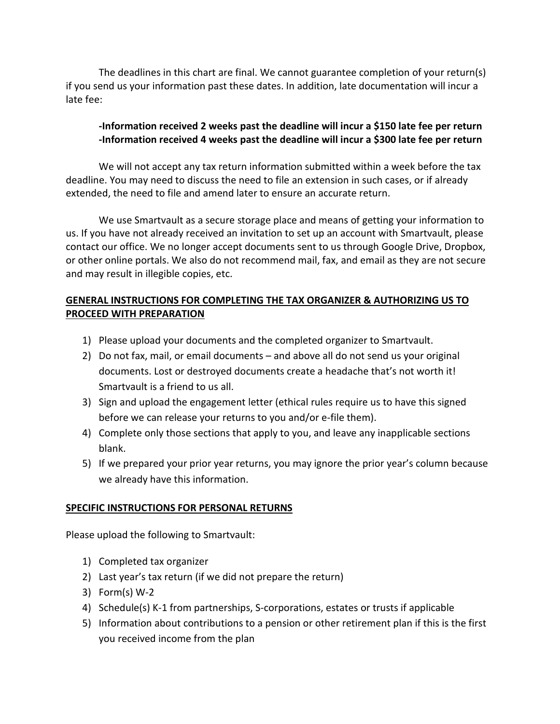The deadlines in this chart are final. We cannot guarantee completion of your return(s) if you send us your information past these dates. In addition, late documentation will incur a late fee:

# **-Information received 2 weeks past the deadline will incur a \$150 late fee per return -Information received 4 weeks past the deadline will incur a \$300 late fee per return**

We will not accept any tax return information submitted within a week before the tax deadline. You may need to discuss the need to file an extension in such cases, or if already extended, the need to file and amend later to ensure an accurate return.

We use Smartvault as a secure storage place and means of getting your information to us. If you have not already received an invitation to set up an account with Smartvault, please contact our office. We no longer accept documents sent to us through Google Drive, Dropbox, or other online portals. We also do not recommend mail, fax, and email as they are not secure and may result in illegible copies, etc.

## **GENERAL INSTRUCTIONS FOR COMPLETING THE TAX ORGANIZER & AUTHORIZING US TO PROCEED WITH PREPARATION**

- 1) Please upload your documents and the completed organizer to Smartvault.
- 2) Do not fax, mail, or email documents and above all do not send us your original documents. Lost or destroyed documents create a headache that's not worth it! Smartvault is a friend to us all.
- 3) Sign and upload the engagement letter (ethical rules require us to have this signed before we can release your returns to you and/or e-file them).
- 4) Complete only those sections that apply to you, and leave any inapplicable sections blank.
- 5) If we prepared your prior year returns, you may ignore the prior year's column because we already have this information.

### **SPECIFIC INSTRUCTIONS FOR PERSONAL RETURNS**

Please upload the following to Smartvault:

- 1) Completed tax organizer
- 2) Last year's tax return (if we did not prepare the return)
- 3) Form(s) W-2
- 4) Schedule(s) K-1 from partnerships, S-corporations, estates or trusts if applicable
- 5) Information about contributions to a pension or other retirement plan if this is the first you received income from the plan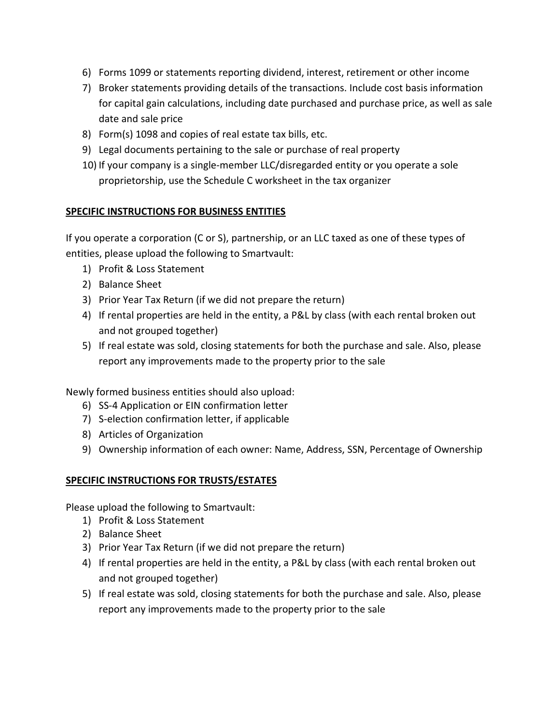- 6) Forms 1099 or statements reporting dividend, interest, retirement or other income
- 7) Broker statements providing details of the transactions. Include cost basis information for capital gain calculations, including date purchased and purchase price, as well as sale date and sale price
- 8) Form(s) 1098 and copies of real estate tax bills, etc.
- 9) Legal documents pertaining to the sale or purchase of real property
- 10) If your company is a single-member LLC/disregarded entity or you operate a sole proprietorship, use the Schedule C worksheet in the tax organizer

### **SPECIFIC INSTRUCTIONS FOR BUSINESS ENTITIES**

If you operate a corporation (C or S), partnership, or an LLC taxed as one of these types of entities, please upload the following to Smartvault:

- 1) Profit & Loss Statement
- 2) Balance Sheet
- 3) Prior Year Tax Return (if we did not prepare the return)
- 4) If rental properties are held in the entity, a P&L by class (with each rental broken out and not grouped together)
- 5) If real estate was sold, closing statements for both the purchase and sale. Also, please report any improvements made to the property prior to the sale

Newly formed business entities should also upload:

- 6) SS-4 Application or EIN confirmation letter
- 7) S-election confirmation letter, if applicable
- 8) Articles of Organization
- 9) Ownership information of each owner: Name, Address, SSN, Percentage of Ownership

### **SPECIFIC INSTRUCTIONS FOR TRUSTS/ESTATES**

Please upload the following to Smartvault:

- 1) Profit & Loss Statement
- 2) Balance Sheet
- 3) Prior Year Tax Return (if we did not prepare the return)
- 4) If rental properties are held in the entity, a P&L by class (with each rental broken out and not grouped together)
- 5) If real estate was sold, closing statements for both the purchase and sale. Also, please report any improvements made to the property prior to the sale